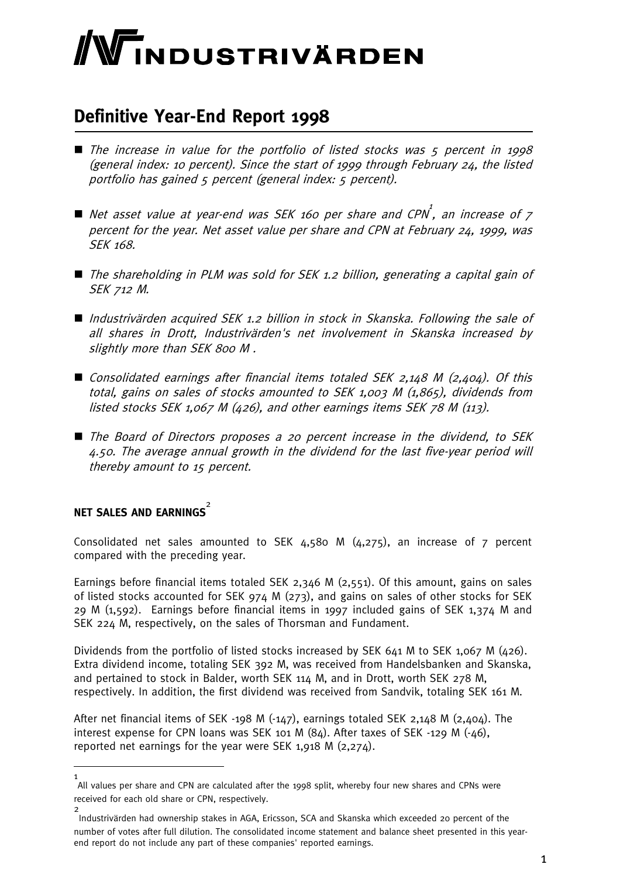# WINDUSTRIVÄRDEN

### **Definitive Year-End Report 1998**

- $\blacksquare$  The increase in value for the portfolio of listed stocks was  $\zeta$  percent in 1998 (general index: 10 percent). Since the start of 1999 through February 24, the listed portfolio has gained 5 percent (general index: 5 percent).
- $\blacksquare$  Net asset value at year-end was SEK 160 per share and CPN $^1$ , an increase of  $7$ percent for the year. Net asset value per share and CPN at February 24, 1999, was SEK 168.
- The shareholding in PLM was sold for SEK 1.2 billion, generating a capital gain of SEK 712 M.
- Industrivärden acquired SEK 1.2 billion in stock in Skanska. Following the sale of all shares in Drott, Industrivärden's net involvement in Skanska increased by slightly more than SEK 800 M .
- Consolidated earnings after financial items totaled SEK 2,148 M (2,404). Of this total, gains on sales of stocks amounted to SEK 1,003 M (1,865), dividends from listed stocks SEK 1,067 M (426), and other earnings items SEK 78 M (113).
- The Board of Directors proposes a 20 percent increase in the dividend, to SEK 4.50. The average annual growth in the dividend for the last five-year period will thereby amount to 15 percent.

### **NET SALES AND EARNINGS** 2

Consolidated net sales amounted to SEK 4,580 M (4,275), an increase of 7 percent compared with the preceding year.

Earnings before financial items totaled SEK 2,346 M (2,551). Of this amount, gains on sales of listed stocks accounted for SEK 974 M (273), and gains on sales of other stocks for SEK 29 M (1,592). Earnings before financial items in 1997 included gains of SEK 1,374 M and SEK 224 M, respectively, on the sales of Thorsman and Fundament.

Dividends from the portfolio of listed stocks increased by SEK 641 M to SEK 1,067 M (426). Extra dividend income, totaling SEK 392 M, was received from Handelsbanken and Skanska, and pertained to stock in Balder, worth SEK 114 M, and in Drott, worth SEK 278 M, respectively. In addition, the first dividend was received from Sandvik, totaling SEK 161 M.

After net financial items of SEK -198 M (-147), earnings totaled SEK 2,148 M (2,404). The interest expense for CPN loans was SEK 101 M (84). After taxes of SEK -129 M (-46), reported net earnings for the year were SEK 1,918 M (2,274).

<sup>1</sup> All values per share and CPN are calculated after the 1998 split, whereby four new shares and CPNs were received for each old share or CPN, respectively.

<sup>2</sup> Industrivärden had ownership stakes in AGA, Ericsson, SCA and Skanska which exceeded 20 percent of the number of votes after full dilution. The consolidated income statement and balance sheet presented in this yearend report do not include any part of these companies' reported earnings.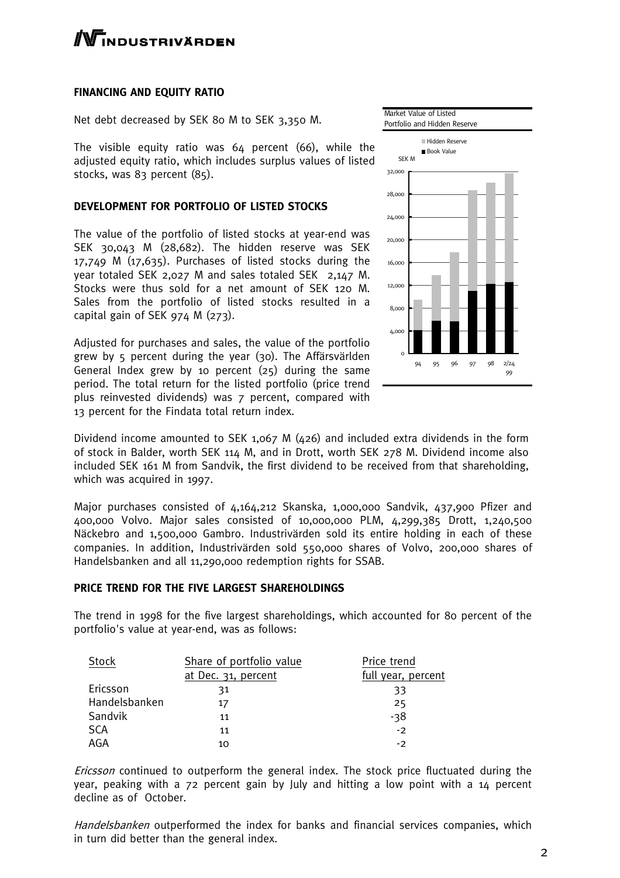### **TNDUSTRIVÄRDEN**

### **FINANCING AND EQUITY RATIO**

Net debt decreased by SEK 80 M to SEK 3,350 M.

The visible equity ratio was 64 percent (66), while the adjusted equity ratio, which includes surplus values of listed stocks, was 83 percent (85).

#### **DEVELOPMENT FOR PORTFOLIO OF LISTED STOCKS**

The value of the portfolio of listed stocks at year-end was SEK 30,043 M (28,682). The hidden reserve was SEK 17,749 M (17,635). Purchases of listed stocks during the year totaled SEK 2,027 M and sales totaled SEK 2,147 M. Stocks were thus sold for a net amount of SEK 120 M. Sales from the portfolio of listed stocks resulted in a capital gain of SEK 974 M (273).

Adjusted for purchases and sales, the value of the portfolio grew by 5 percent during the year (30). The Affärsvärlden General Index grew by 10 percent (25) during the same period. The total return for the listed portfolio (price trend plus reinvested dividends) was 7 percent, compared with 13 percent for the Findata total return index.



Dividend income amounted to SEK 1,067 M (426) and included extra dividends in the form of stock in Balder, worth SEK 114 M, and in Drott, worth SEK 278 M. Dividend income also included SEK 161 M from Sandvik, the first dividend to be received from that shareholding, which was acquired in 1997.

Major purchases consisted of 4,164,212 Skanska, 1,000,000 Sandvik, 437,900 Pfizer and 400,000 Volvo. Major sales consisted of 10,000,000 PLM, 4,299,385 Drott, 1,240,500 Näckebro and 1,500,000 Gambro. Industrivärden sold its entire holding in each of these companies. In addition, Industrivärden sold 550,000 shares of Volvo, 200,000 shares of Handelsbanken and all 11,290,000 redemption rights for SSAB.

#### **PRICE TREND FOR THE FIVE LARGEST SHAREHOLDINGS**

The trend in 1998 for the five largest shareholdings, which accounted for 80 percent of the portfolio's value at year-end, was as follows:

| <b>Stock</b>  | Share of portfolio value | Price trend        |
|---------------|--------------------------|--------------------|
|               | at Dec. 31, percent      | full year, percent |
| Ericsson      | 31                       | 33                 |
| Handelsbanken | 17                       | 25                 |
| Sandvik       | 11                       | $-38$              |
| <b>SCA</b>    | 11                       | $-2$               |
| AGA           | 10                       | - 2                |

Ericsson continued to outperform the general index. The stock price fluctuated during the year, peaking with a 72 percent gain by July and hitting a low point with a 14 percent decline as of October.

Handelsbanken outperformed the index for banks and financial services companies, which in turn did better than the general index.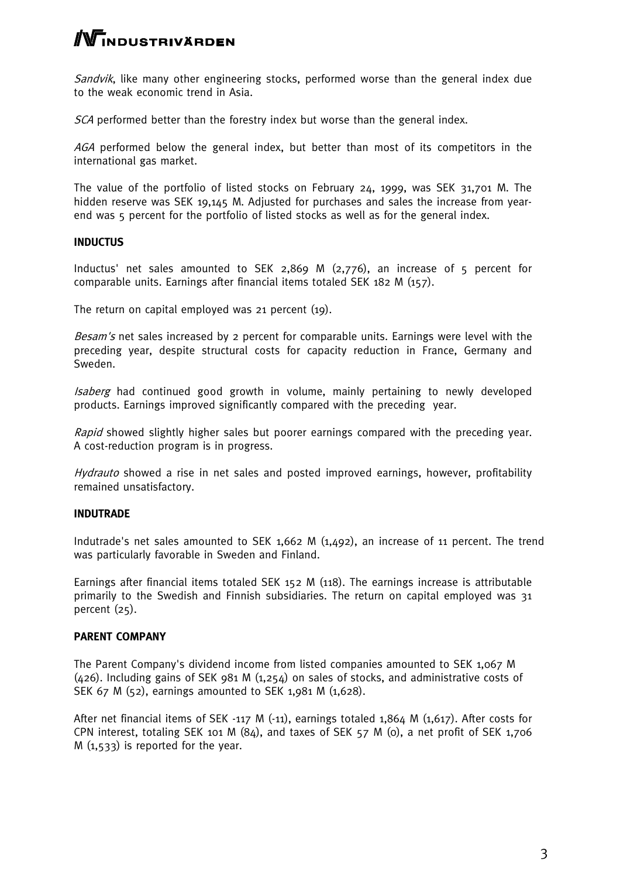## **NTINDUSTRIVÄRDEN**

Sandvik, like many other engineering stocks, performed worse than the general index due to the weak economic trend in Asia.

SCA performed better than the forestry index but worse than the general index.

AGA performed below the general index, but better than most of its competitors in the international gas market.

The value of the portfolio of listed stocks on February 24, 1999, was SEK 31,701 M. The hidden reserve was SEK 19,145 M. Adjusted for purchases and sales the increase from yearend was 5 percent for the portfolio of listed stocks as well as for the general index.

### **INDUCTUS**

Inductus' net sales amounted to SEK 2,869 M (2,776), an increase of 5 percent for comparable units. Earnings after financial items totaled SEK 182 M (157).

The return on capital employed was 21 percent (19).

Besam's net sales increased by 2 percent for comparable units. Earnings were level with the preceding year, despite structural costs for capacity reduction in France, Germany and Sweden.

Isaberg had continued good growth in volume, mainly pertaining to newly developed products. Earnings improved significantly compared with the preceding year.

Rapid showed slightly higher sales but poorer earnings compared with the preceding year. A cost-reduction program is in progress.

Hydrauto showed a rise in net sales and posted improved earnings, however, profitability remained unsatisfactory.

### **INDUTRADE**

Indutrade's net sales amounted to SEK 1,662 M (1,492), an increase of 11 percent. The trend was particularly favorable in Sweden and Finland.

Earnings after financial items totaled SEK 152 M (118). The earnings increase is attributable primarily to the Swedish and Finnish subsidiaries. The return on capital employed was 31 percent (25).

### **PARENT COMPANY**

The Parent Company's dividend income from listed companies amounted to SEK 1,067 M  $(426)$ . Including gains of SEK 981 M  $(1,254)$  on sales of stocks, and administrative costs of SEK 67 M (52), earnings amounted to SEK 1,981 M (1,628).

After net financial items of SEK -117 M (-11), earnings totaled 1,864 M (1,617). After costs for CPN interest, totaling SEK 101 M (84), and taxes of SEK 57 M (0), a net profit of SEK 1,706  $M(1,533)$  is reported for the year.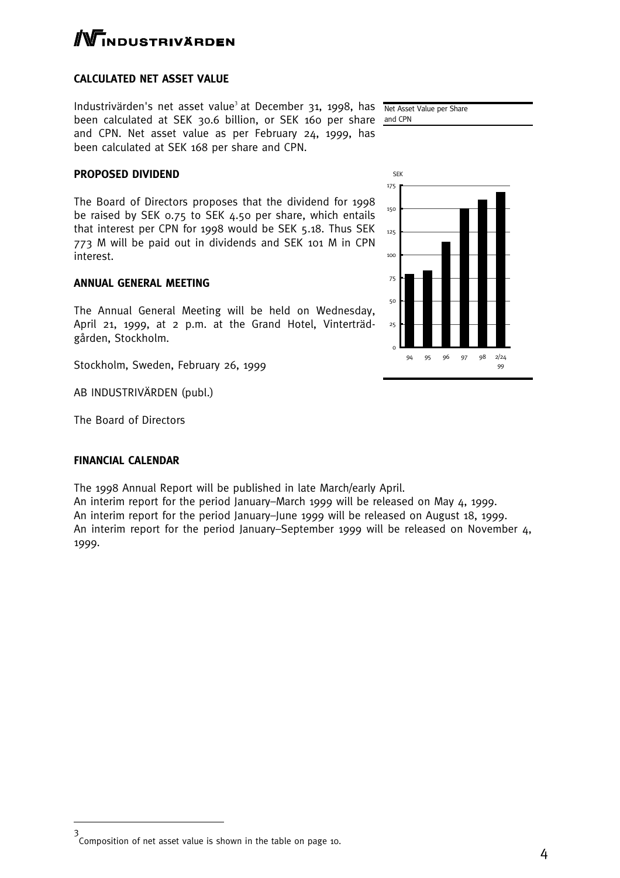# **TNDUSTRIVÄRDEN**

### **CALCULATED NET ASSET VALUE**

Industrivärden's net asset value<sup>3</sup> at December 31, 1998, has Net Asset Value per Share been calculated at SEK 30.6 billion, or SEK 160 per share and CPN and CPN. Net asset value as per February 24, 1999, has been calculated at SEK 168 per share and CPN.

### **PROPOSED DIVIDEND**

The Board of Directors proposes that the dividend for 1998 be raised by SEK 0.75 to SEK 4.50 per share, which entails that interest per CPN for 1998 would be SEK 5.18. Thus SEK 773 M will be paid out in dividends and SEK 101 M in CPN interest.

### **ANNUAL GENERAL MEETING**

The Annual General Meeting will be held on Wednesday, April 21, 1999, at 2 p.m. at the Grand Hotel, Vinterträdgården, Stockholm.

Stockholm, Sweden, February 26, 1999

AB INDUSTRIVÄRDEN (publ.)

The Board of Directors

### **FINANCIAL CALENDAR**

The 1998 Annual Report will be published in late March/early April.

An interim report for the period January–March 1999 will be released on May 4, 1999. An interim report for the period January–June 1999 will be released on August 18, 1999. An interim report for the period January–September 1999 will be released on November 4, 1999.





<sup>3</sup> Composition of net asset value is shown in the table on page 10.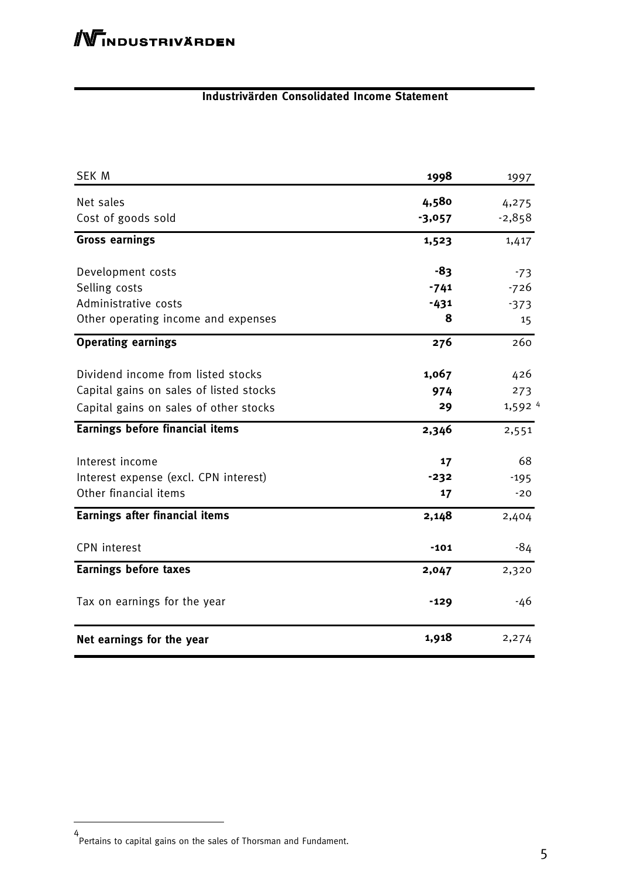### **Industrivärden Consolidated Income Statement**

| <b>SEK M</b>                            | 1998     | 1997                 |
|-----------------------------------------|----------|----------------------|
| Net sales                               | 4,580    | 4,275                |
| Cost of goods sold                      | $-3,057$ | $-2,858$             |
| <b>Gross earnings</b>                   | 1,523    | 1,417                |
| Development costs                       | -83      | $-73$                |
| Selling costs                           | $-741$   | $-726$               |
| Administrative costs                    | $-431$   | $-373$               |
| Other operating income and expenses     | 8        | 15                   |
| <b>Operating earnings</b>               | 276      | 260                  |
| Dividend income from listed stocks      | 1,067    | 426                  |
| Capital gains on sales of listed stocks | 974      | 273                  |
| Capital gains on sales of other stocks  | 29       | $1,592$ <sup>4</sup> |
| <b>Earnings before financial items</b>  | 2,346    | 2,551                |
| Interest income                         | 17       | 68                   |
| Interest expense (excl. CPN interest)   | $-232$   | $-195$               |
| Other financial items                   | 17       | $-20$                |
| Earnings after financial items          | 2,148    | 2,404                |
| <b>CPN</b> interest                     | $-101$   | -84                  |
| <b>Earnings before taxes</b>            | 2,047    | 2,320                |
| Tax on earnings for the year            | $-129$   | -46                  |
| Net earnings for the year               | 1,918    | 2,274                |

<sup>4</sup> Pertains to capital gains on the sales of Thorsman and Fundament.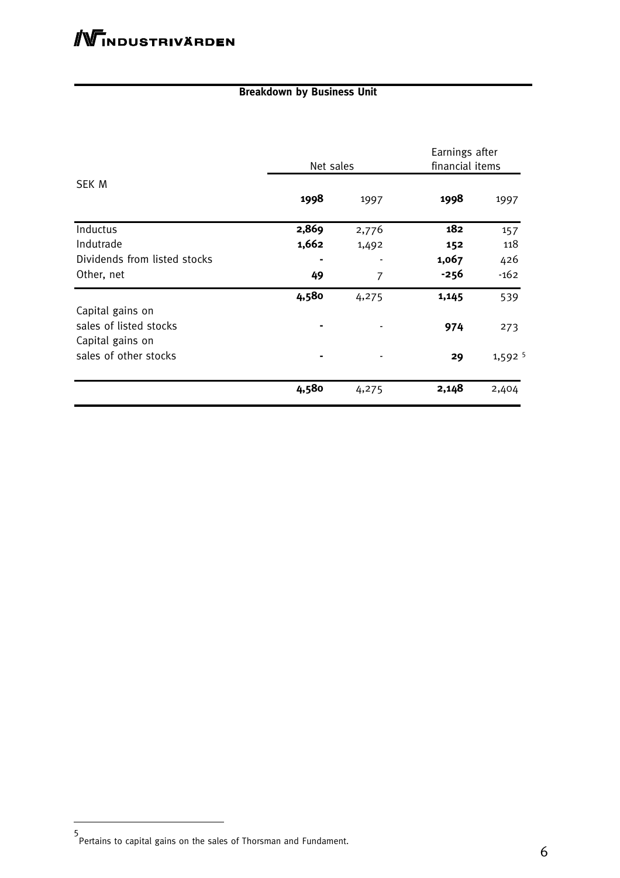### **Breakdown by Business Unit**

|                              | Net sales |       | Earnings after<br>financial items |         |
|------------------------------|-----------|-------|-----------------------------------|---------|
| SEK M                        | 1998      | 1997  | 1998                              | 1997    |
| Inductus                     | 2,869     | 2,776 | 182                               | 157     |
| Indutrade                    | 1,662     | 1,492 | 152                               | 118     |
| Dividends from listed stocks |           |       | 1,067                             | 426     |
| Other, net                   | 49        | 7     | $-256$                            | $-162$  |
|                              | 4,580     | 4,275 | 1,145                             | 539     |
| Capital gains on             |           |       |                                   |         |
| sales of listed stocks       |           |       | 974                               | 273     |
| Capital gains on             |           |       |                                   |         |
| sales of other stocks        | ۰         |       | 29                                | 1,592 5 |
|                              | 4,580     | 4,275 | 2,148                             | 2,404   |

<sup>5</sup> Pertains to capital gains on the sales of Thorsman and Fundament.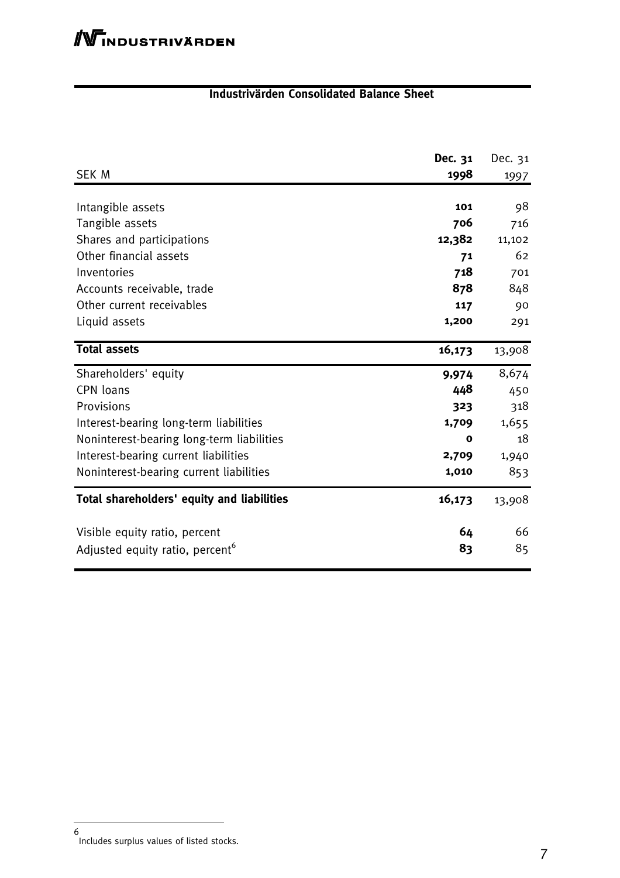### **Industrivärden Consolidated Balance Sheet**

|                                             | Dec. 31     | Dec. 31 |
|---------------------------------------------|-------------|---------|
| <b>SEK M</b>                                | 1998        | 1997    |
|                                             |             |         |
| Intangible assets                           | 101         | 98      |
| Tangible assets                             | 706         | 716     |
| Shares and participations                   | 12,382      | 11,102  |
| Other financial assets                      | 71          | 62      |
| Inventories                                 | 718         | 701     |
| Accounts receivable, trade                  | 878         | 848     |
| Other current receivables                   | 117         | 90      |
| Liquid assets                               | 1,200       | 291     |
| <b>Total assets</b>                         | 16,173      | 13,908  |
| Shareholders' equity                        | 9,974       | 8,674   |
| <b>CPN loans</b>                            | 448         | 450     |
| Provisions                                  | 323         | 318     |
| Interest-bearing long-term liabilities      | 1,709       | 1,655   |
| Noninterest-bearing long-term liabilities   | $\mathbf o$ | 18      |
| Interest-bearing current liabilities        | 2,709       | 1,940   |
| Noninterest-bearing current liabilities     | 1,010       | 853     |
| Total shareholders' equity and liabilities  | 16,173      | 13,908  |
| Visible equity ratio, percent               | 64          | 66      |
| Adjusted equity ratio, percent <sup>6</sup> | 83          | 85      |

<sup>6</sup> Includes surplus values of listed stocks.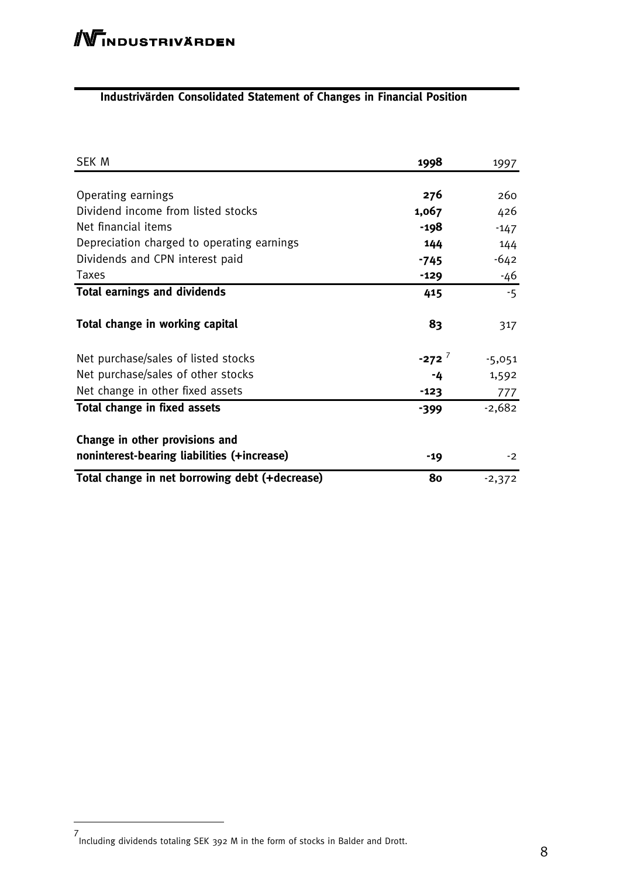### **Industrivärden Consolidated Statement of Changes in Financial Position**

| SEK M                                          | 1998                | 1997     |
|------------------------------------------------|---------------------|----------|
|                                                |                     |          |
| Operating earnings                             | 276                 | 260      |
| Dividend income from listed stocks             | 1,067               | 426      |
| Net financial items                            | -198                | $-147$   |
| Depreciation charged to operating earnings     | 144                 | 144      |
| Dividends and CPN interest paid                | -745                | $-642$   |
| <b>Taxes</b>                                   | $-129$              | -46      |
| <b>Total earnings and dividends</b>            | 415                 | $-5$     |
| Total change in working capital                | 83                  | 317      |
| Net purchase/sales of listed stocks            | $-272$ <sup>7</sup> | $-5,051$ |
| Net purchase/sales of other stocks             | -4                  | 1,592    |
| Net change in other fixed assets               | $-123$              | 777      |
| Total change in fixed assets                   | $-399$              | $-2,682$ |
| Change in other provisions and                 |                     |          |
| noninterest-bearing liabilities (+increase)    | $-19$               | $-2$     |
| Total change in net borrowing debt (+decrease) | 80                  | $-2,372$ |

<sup>7</sup> Including dividends totaling SEK 392 M in the form of stocks in Balder and Drott.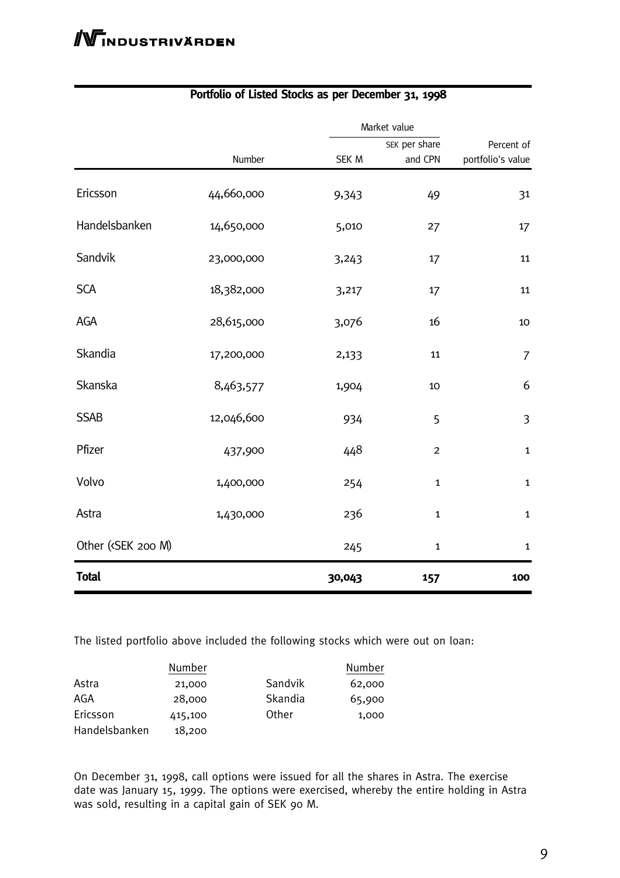|                                                                                                                                              |            |        | Market value   |                   |  |
|----------------------------------------------------------------------------------------------------------------------------------------------|------------|--------|----------------|-------------------|--|
|                                                                                                                                              |            |        | SEK per share  | Percent of        |  |
|                                                                                                                                              | Number     | SEK M  | and CPN        | portfolio's value |  |
| Ericsson                                                                                                                                     | 44,660,000 | 9,343  | 49             | 31                |  |
| Handelsbanken                                                                                                                                | 14,650,000 | 5,010  | 27             | 17                |  |
| Sandvik                                                                                                                                      | 23,000,000 | 3,243  | 17             | 11                |  |
| <b>SCA</b>                                                                                                                                   | 18,382,000 | 3,217  | 17             | 11                |  |
| AGA                                                                                                                                          | 28,615,000 | 3,076  | 16             | 10                |  |
| Skandia                                                                                                                                      | 17,200,000 | 2,133  | 11             | $\overline{7}$    |  |
| Skanska                                                                                                                                      | 8,463,577  | 1,904  | $10\,$         | 6                 |  |
| <b>SSAB</b>                                                                                                                                  | 12,046,600 | 934    | 5              | $\overline{3}$    |  |
| Pfizer                                                                                                                                       | 437,900    | 448    | $\overline{c}$ | $\mathbf 1$       |  |
| Volvo                                                                                                                                        | 1,400,000  | 254    | $\mathbf{1}$   | $\mathbf 1$       |  |
| Astra                                                                                                                                        | 1,430,000  | 236    | $\mathbf{1}$   | $\mathbf 1$       |  |
| Other ( <sek 200="" m)<="" td=""><td></td><td>245</td><td><math>\mathbf{1}</math></td><td><math display="inline">\mathbf 1</math></td></sek> |            | 245    | $\mathbf{1}$   | $\mathbf 1$       |  |
| <b>Total</b>                                                                                                                                 |            | 30,043 | 157            | 100               |  |

### **Portfolio of Listed Stocks as per December 31, 1998**

The listed portfolio above included the following stocks which were out on loan:

|               | Number  |         | Number |
|---------------|---------|---------|--------|
| Astra         | 21,000  | Sandvik | 62,000 |
| AGA           | 28,000  | Skandia | 65,900 |
| Ericsson      | 415,100 | Other   | 1,000  |
| Handelsbanken | 18,200  |         |        |

On December 31, 1998, call options were issued for all the shares in Astra. The exercise date was January 15, 1999. The options were exercised, whereby the entire holding in Astra was sold, resulting in a capital gain of SEK 90 M.